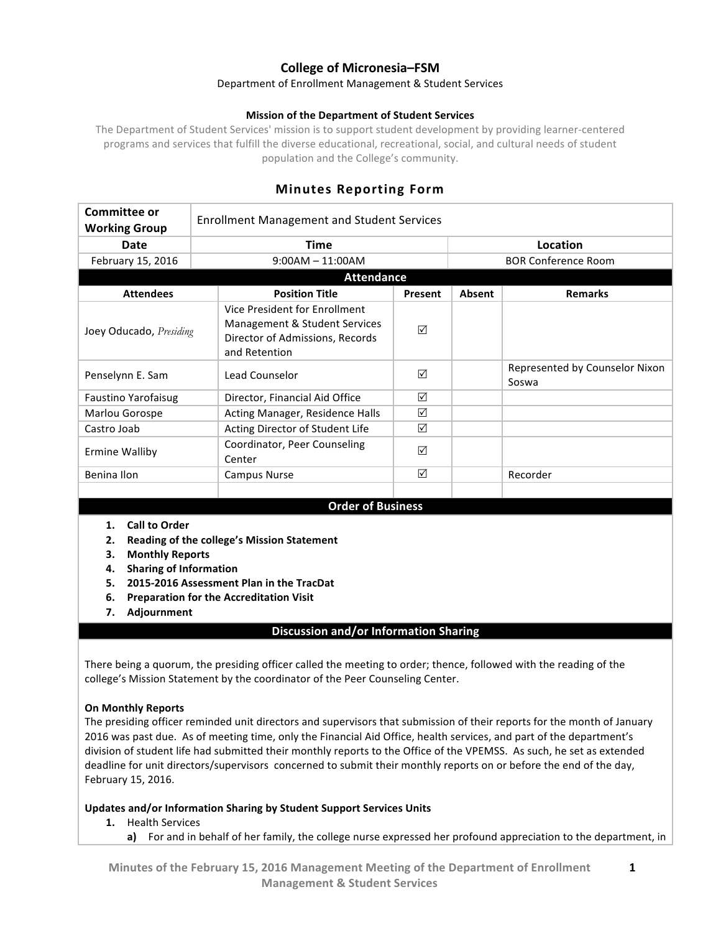# **College of Micronesia–FSM**

### Department of Enrollment Management & Student Services

### **Mission of the Department of Student Services**

The Department of Student Services' mission is to support student development by providing learner-centered programs and services that fulfill the diverse educational, recreational, social, and cultural needs of student population and the College's community.

# **Minutes Reporting Form**

| Committee or<br><b>Working Group</b>                                                                          | <b>Enrollment Management and Student Services</b>                                                                  |         |          |                                         |  |
|---------------------------------------------------------------------------------------------------------------|--------------------------------------------------------------------------------------------------------------------|---------|----------|-----------------------------------------|--|
| Date                                                                                                          | <b>Time</b>                                                                                                        |         | Location |                                         |  |
| February 15, 2016                                                                                             | $9:00AM - 11:00AM$                                                                                                 |         |          | <b>BOR Conference Room</b>              |  |
| <b>Attendance</b>                                                                                             |                                                                                                                    |         |          |                                         |  |
| <b>Attendees</b>                                                                                              | <b>Position Title</b>                                                                                              | Present | Absent   | <b>Remarks</b>                          |  |
| Joey Oducado, Presiding                                                                                       | Vice President for Enrollment<br>Management & Student Services<br>Director of Admissions, Records<br>and Retention | ☑       |          |                                         |  |
| Penselynn E. Sam                                                                                              | Lead Counselor                                                                                                     | ☑       |          | Represented by Counselor Nixon<br>Soswa |  |
| <b>Faustino Yarofaisug</b>                                                                                    | Director, Financial Aid Office                                                                                     | ☑       |          |                                         |  |
| Marlou Gorospe                                                                                                | Acting Manager, Residence Halls                                                                                    | ☑       |          |                                         |  |
| Castro Joab                                                                                                   | Acting Director of Student Life                                                                                    | ⊠       |          |                                         |  |
| <b>Ermine Walliby</b>                                                                                         | Coordinator, Peer Counseling<br>Center                                                                             | ☑       |          |                                         |  |
| Benina Ilon                                                                                                   | <b>Campus Nurse</b>                                                                                                | ☑       |          | Recorder                                |  |
|                                                                                                               |                                                                                                                    |         |          |                                         |  |
| <b>Order of Business</b>                                                                                      |                                                                                                                    |         |          |                                         |  |
| <b>Call to Order</b><br>1.<br>2.<br><b>Monthly Reports</b><br>3.<br><b>Sharing of Information</b><br>4.<br>5. | Reading of the college's Mission Statement<br>2015-2016 Assessment Plan in the TracDat                             |         |          |                                         |  |

- **6.** Preparation for the Accreditation Visit
- **7. Adjournment**

## **Discussion and/or Information Sharing**

There being a quorum, the presiding officer called the meeting to order; thence, followed with the reading of the college's Mission Statement by the coordinator of the Peer Counseling Center.

## **On Monthly Reports**

The presiding officer reminded unit directors and supervisors that submission of their reports for the month of January 2016 was past due. As of meeting time, only the Financial Aid Office, health services, and part of the department's division of student life had submitted their monthly reports to the Office of the VPEMSS. As such, he set as extended deadline for unit directors/supervisors concerned to submit their monthly reports on or before the end of the day, February 15, 2016.

## **Updates and/or Information Sharing by Student Support Services Units**

- 1. Health Services
	- **a)** For and in behalf of her family, the college nurse expressed her profound appreciation to the department, in

**1**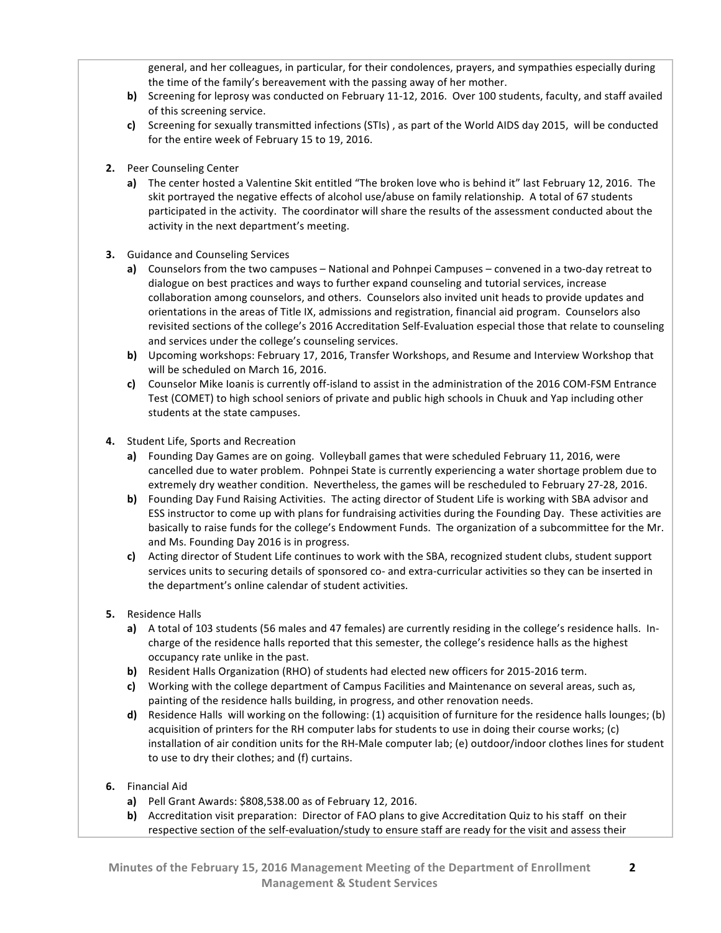general, and her colleagues, in particular, for their condolences, prayers, and sympathies especially during the time of the family's bereavement with the passing away of her mother.

- **b)** Screening for leprosy was conducted on February 11-12, 2016. Over 100 students, faculty, and staff availed of this screening service.
- **c)** Screening for sexually transmitted infections (STIs), as part of the World AIDS day 2015, will be conducted for the entire week of February 15 to 19, 2016.
- 2. Peer Counseling Center
	- **a)** The center hosted a Valentine Skit entitled "The broken love who is behind it" last February 12, 2016. The skit portrayed the negative effects of alcohol use/abuse on family relationship. A total of 67 students participated in the activity. The coordinator will share the results of the assessment conducted about the activity in the next department's meeting.
- **3.** Guidance and Counseling Services
	- **a)** Counselors from the two campuses National and Pohnpei Campuses convened in a two-day retreat to dialogue on best practices and ways to further expand counseling and tutorial services, increase collaboration among counselors, and others. Counselors also invited unit heads to provide updates and orientations in the areas of Title IX, admissions and registration, financial aid program. Counselors also revisited sections of the college's 2016 Accreditation Self-Evaluation especial those that relate to counseling and services under the college's counseling services.
	- **b)** Upcoming workshops: February 17, 2016, Transfer Workshops, and Resume and Interview Workshop that will be scheduled on March 16, 2016.
	- **c)** Counselor Mike Ioanis is currently off-island to assist in the administration of the 2016 COM-FSM Entrance Test (COMET) to high school seniors of private and public high schools in Chuuk and Yap including other students at the state campuses.
- **4.** Student Life, Sports and Recreation
	- **a)** Founding Day Games are on going. Volleyball games that were scheduled February 11, 2016, were cancelled due to water problem. Pohnpei State is currently experiencing a water shortage problem due to extremely dry weather condition. Nevertheless, the games will be rescheduled to February 27-28, 2016.
	- **b)** Founding Day Fund Raising Activities. The acting director of Student Life is working with SBA advisor and ESS instructor to come up with plans for fundraising activities during the Founding Day. These activities are basically to raise funds for the college's Endowment Funds. The organization of a subcommittee for the Mr. and Ms. Founding Day 2016 is in progress.
	- **c)** Acting director of Student Life continues to work with the SBA, recognized student clubs, student support services units to securing details of sponsored co- and extra-curricular activities so they can be inserted in the department's online calendar of student activities.
- **5.** Residence Halls
	- **a)** A total of 103 students (56 males and 47 females) are currently residing in the college's residence halls. Incharge of the residence halls reported that this semester, the college's residence halls as the highest occupancy rate unlike in the past.
	- **b)** Resident Halls Organization (RHO) of students had elected new officers for 2015-2016 term.
	- **c)** Working with the college department of Campus Facilities and Maintenance on several areas, such as, painting of the residence halls building, in progress, and other renovation needs.
	- **d)** Residence Halls will working on the following: (1) acquisition of furniture for the residence halls lounges; (b) acquisition of printers for the RH computer labs for students to use in doing their course works; (c) installation of air condition units for the RH-Male computer lab; (e) outdoor/indoor clothes lines for student to use to dry their clothes; and (f) curtains.
- **6.** Financial Aid
	- **a)** Pell Grant Awards: \$808,538.00 as of February 12, 2016.
	- **b)** Accreditation visit preparation: Director of FAO plans to give Accreditation Quiz to his staff on their respective section of the self-evaluation/study to ensure staff are ready for the visit and assess their